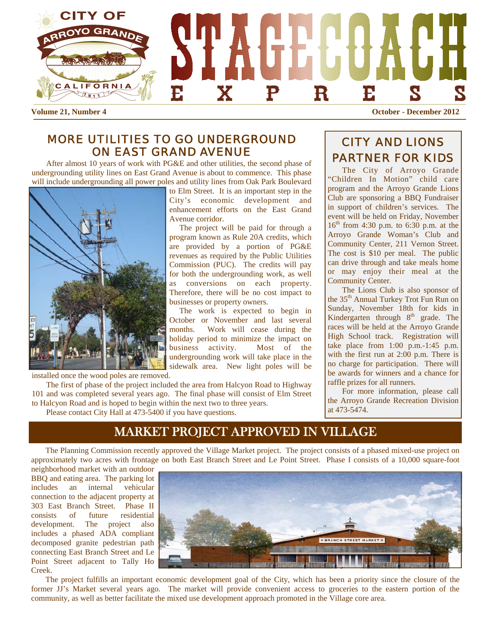

**Volume 21, Number 4 October - December 2012** 

### *MORE UTILITIES TO GO UNDERGROUND ON EAST GRAND AVENUE*

 After almost 10 years of work with PG&E and other utilities, the second phase of undergrounding utility lines on East Grand Avenue is about to commence. This phase will include undergrounding all power poles and utility lines from Oak Park Boulevard

to Elm Street. It is an important step in the City's economic development and enhancement efforts on the East Grand Avenue corridor.

 The project will be paid for through a program known as Rule 20A credits, which are provided by a portion of PG&E revenues as required by the Public Utilities Commission (PUC). The credits will pay for both the undergrounding work, as well as conversions on each property. Therefore, there will be no cost impact to businesses or property owners.

 The work is expected to begin in October or November and last several months. Work will cease during the holiday period to minimize the impact on business activity. Most of the undergrounding work will take place in the sidewalk area. New light poles will be

installed once the wood poles are removed.

 The first of phase of the project included the area from Halcyon Road to Highway 101 and was completed several years ago. The final phase will consist of Elm Street to Halcyon Road and is hoped to begin within the next two to three years.

Please contact City Hall at 473-5400 if you have questions.

# *CITY AND LIONS PARTNER FOR KIDS*

The City of Arroyo Grande "Children In Motion" child care program and the Arroyo Grande Lions Club are sponsoring a BBQ Fundraiser in support of children's services. The event will be held on Friday, November  $16^{th}$  from 4:30 p.m. to 6:30 p.m. at the Arroyo Grande Woman's Club and Community Center, 211 Vernon Street. The cost is \$10 per meal. The public can drive through and take meals home or may enjoy their meal at the Community Center.

The Lions Club is also sponsor of the 35<sup>th</sup> Annual Turkey Trot Fun Run on Sunday, November 18th for kids in Kindergarten through  $8<sup>th</sup>$  grade. The races will be held at the Arroyo Grande High School track. Registration will take place from 1:00 p.m.-1:45 p.m. with the first run at 2:00 p.m. There is no charge for participation. There will be awards for winners and a chance for raffle prizes for all runners.

For more information, please call the Arroyo Grande Recreation Division at 473-5474.

# MARKET PROJECT APPROVED IN VILLAGE

The Planning Commission recently approved the Village Market project. The project consists of a phased mixed-use project on approximately two acres with frontage on both East Branch Street and Le Point Street. Phase I consists of a 10,000 square-foot

neighborhood market with an outdoor BBQ and eating area. The parking lot includes an internal vehicular connection to the adjacent property at 303 East Branch Street. Phase II consists of future residential development. The project also includes a phased ADA compliant decomposed granite pedestrian path connecting East Branch Street and Le Point Street adjacent to Tally Ho Creek.



 The project fulfills an important economic development goal of the City, which has been a priority since the closure of the former JJ's Market several years ago. The market will provide convenient access to groceries to the eastern portion of the community, as well as better facilitate the mixed use development approach promoted in the Village core area.